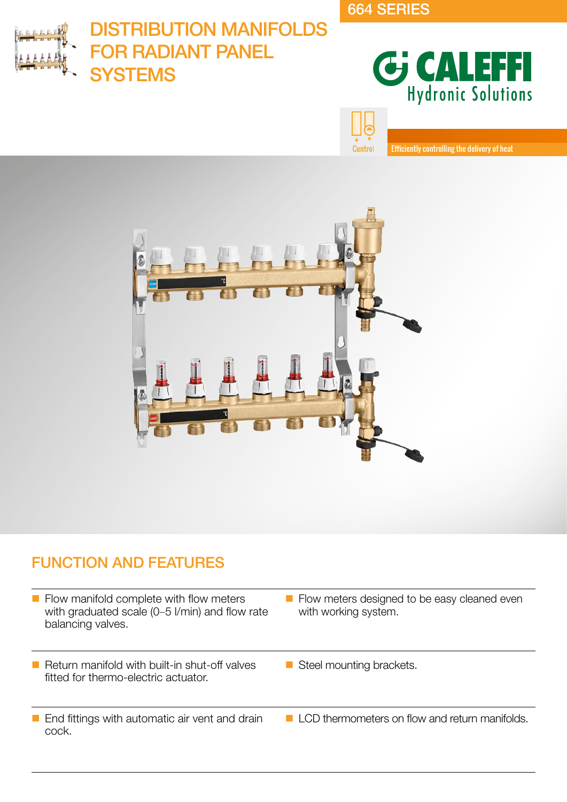664 SERIES

**Control** 



# DISTRIBUTION MANIFOLDS FOR RADIANT PANEL YSTEMS



Efficiently controlling the delivery of heat



# FUNCTION AND FEATURES

- $\blacksquare$  Flow manifold complete with flow meters with graduated scale (0–5 l/min) and flow rate balancing valves.
- $\blacksquare$  Return manifold with built-in shut-off valves fitted for thermo-electric actuator.
- **End fittings with automatic air vent and drain** cock.
- Flow meters designed to be easy cleaned even with working system.
- Steel mounting brackets.
- LCD thermometers on flow and return manifolds.